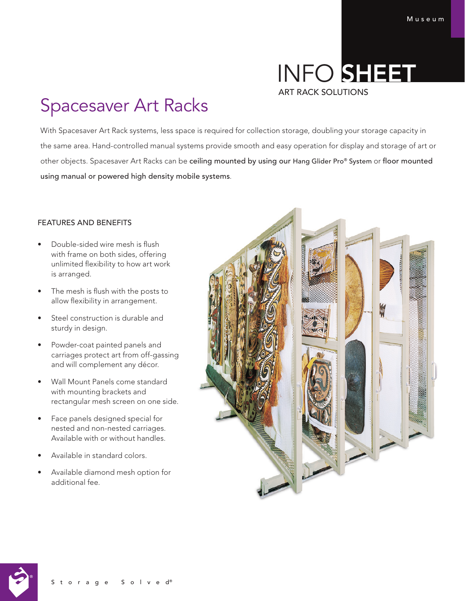# INFO SHEET ART RACK SOLUTIONS

# Spacesaver Art Racks

With Spacesaver Art Rack systems, less space is required for collection storage, doubling your storage capacity in the same area. Hand-controlled manual systems provide smooth and easy operation for display and storage of art or other objects. Spacesaver Art Racks can be ceiling mounted by using our Hang Glider Pro® System or floor mounted using manual or powered high density mobile systems.

## FEATURES AND BENEFITS

- Double-sided wire mesh is flush with frame on both sides, offering unlimited flexibility to how art work is arranged.
- The mesh is flush with the posts to allow flexibility in arrangement.
- Steel construction is durable and sturdy in design.
- Powder-coat painted panels and carriages protect art from off-gassing and will complement any décor.
- Wall Mount Panels come standard with mounting brackets and rectangular mesh screen on one side.
- Face panels designed special for nested and non-nested carriages. Available with or without handles.
- Available in standard colors.
- Available diamond mesh option for additional fee.